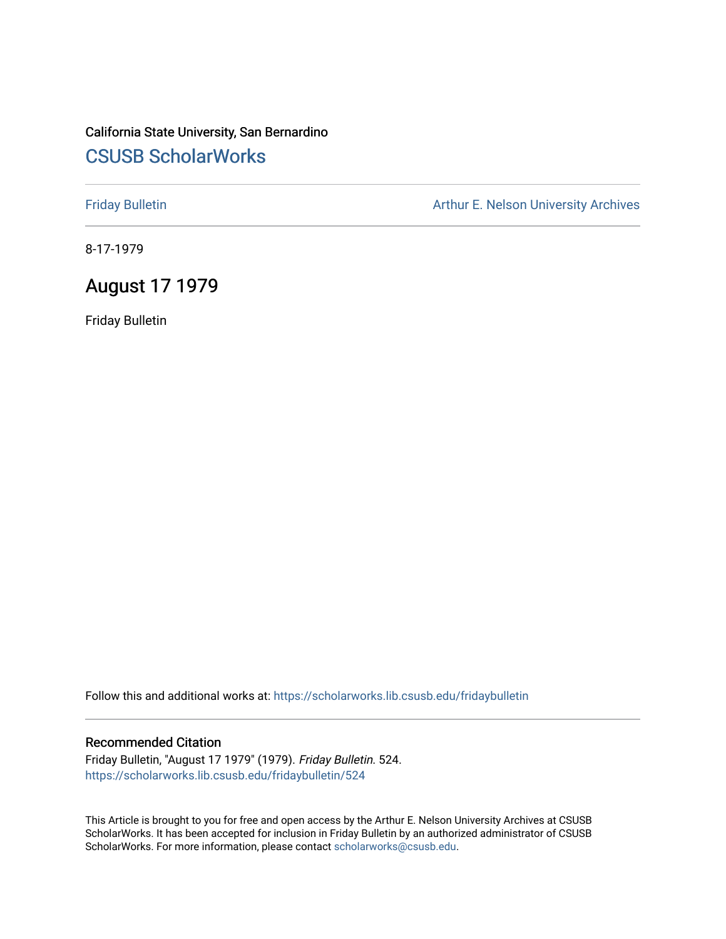# California State University, San Bernardino [CSUSB ScholarWorks](https://scholarworks.lib.csusb.edu/)

[Friday Bulletin](https://scholarworks.lib.csusb.edu/fridaybulletin) **Arthur E. Nelson University Archives** Arthur E. Nelson University Archives

8-17-1979

## August 17 1979

Friday Bulletin

Follow this and additional works at: [https://scholarworks.lib.csusb.edu/fridaybulletin](https://scholarworks.lib.csusb.edu/fridaybulletin?utm_source=scholarworks.lib.csusb.edu%2Ffridaybulletin%2F524&utm_medium=PDF&utm_campaign=PDFCoverPages)

#### Recommended Citation

Friday Bulletin, "August 17 1979" (1979). Friday Bulletin. 524. [https://scholarworks.lib.csusb.edu/fridaybulletin/524](https://scholarworks.lib.csusb.edu/fridaybulletin/524?utm_source=scholarworks.lib.csusb.edu%2Ffridaybulletin%2F524&utm_medium=PDF&utm_campaign=PDFCoverPages)

This Article is brought to you for free and open access by the Arthur E. Nelson University Archives at CSUSB ScholarWorks. It has been accepted for inclusion in Friday Bulletin by an authorized administrator of CSUSB ScholarWorks. For more information, please contact [scholarworks@csusb.edu.](mailto:scholarworks@csusb.edu)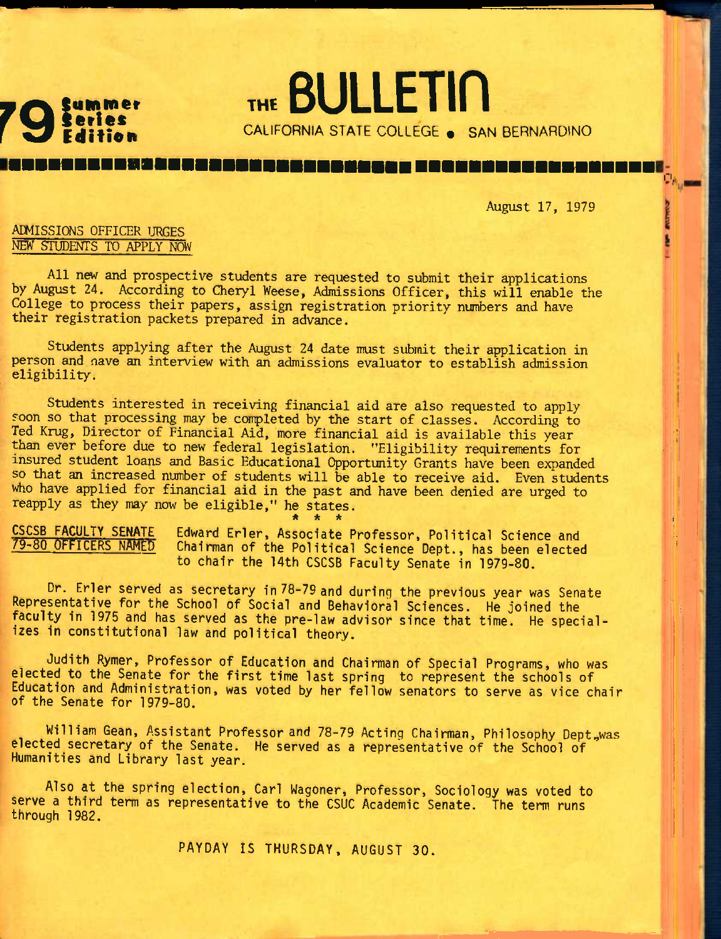

THE BULLETIN CALIFORNIA STATE COLLEGE . SAN BERNARDINO

. . . . . . . .

August 17, 1979

ri.

**TUP ENTRYS** 

### ADMISSIONS OFFICER URGES NEW STUDENTS TO APPLY NOW

All new and prospective students are requested to submit their applications by August 24. According to Cheryl Weese, Admissions Officer, this will enable the College to process their papers, assign registration priority numbers and have their registration packets prepared in advance.

Students applying after the August 24 date must submit their application in person and nave an interview with an admissions evaluator to establish admission eligibility.

Students interested in receiving financial aid are also requested to apply soon so that processing may be completed by the start of classes. According to Ted Krug, Director of Financial Aid, more financial aid is available this year than ever before due to new federal legislation. "Eligibility requirements for insured student loans and Basic Educational Opportunity Grants have been expanded so that an increased number of students will be able to receive aid. Even students who have applied for financial aid in the past and have been denied are urged to reapply as they may now be eligible," he states.

\* \* \*

CSCSB FACULTY SENATE 79-80 OFFICERS NAMED Edward Erler, Associate Professor, Political Science and Chairman of the Political Science Dept., has been elected to chair the 14th CSCSB Faculty Senate in 1979-80.

Dr. Erler served as secretary in 78-79 and during the previous year was Senate Representative for the School of Social and Behavioral Sciences. He joined the faculty in 1975 and has served as the pre-law advisor since that time. He specializes in constitutional law and political theory.

Judith Rymer, Professor of Education and Chairman of Special Programs, who was elected to the Senate for the first time last spring to represent the schools of Education and Administration, was voted by her fellow senators to serve as vice chair of the Senate for 1979-80.

William Gean, Assistant Professor and 78-79 Acting Chairman, Philosophy Dept.,was elected secretary of the Senate. He served as a representative of the School of Humanities and Library last year.

Also at the spring election, Carl Wagoner, Professor, Sociology was voted to serve a third term as representative to the CSUC Academic Senate. The term runs through 1982.

PAYDAY IS THURSDAY, AUGUST 30.